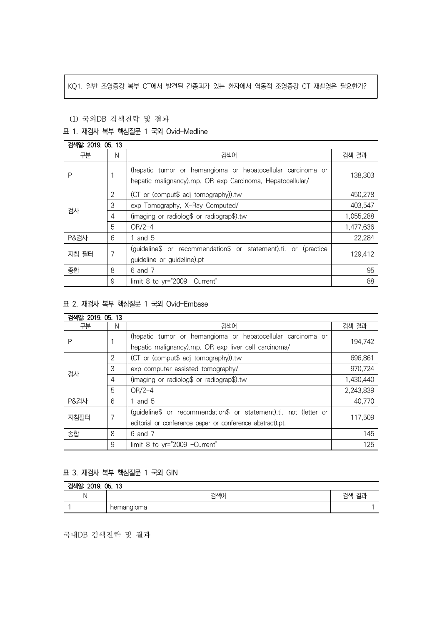# KQ1. 일반 조영증강 복부 CT에서 발견된 간종괴가 있는 환자에서 역동적 조영증강 CT 재촬영은 필요한가?

#### (1) 국외DB 검색전략 및 결과

#### 표 1. 재검사 복부 핵심질문 1 국외 Ovid-Medline

| 검색일: 2019. 05. 13 |   |                                                                                                                          |           |
|-------------------|---|--------------------------------------------------------------------------------------------------------------------------|-----------|
| 구분                | N | 검색어                                                                                                                      | 검색 결과     |
| Ρ                 |   | (hepatic tumor or hemangioma or hepatocellular carcinoma or<br>hepatic malignancy).mp. OR exp Carcinoma, Hepatocellular/ | 138,303   |
| 검사                | 2 | (CT or (comput\$ adj tomography)).tw                                                                                     | 450,278   |
|                   | 3 | exp Tomography, X-Ray Computed/                                                                                          | 403.547   |
|                   | 4 | (imaging or radiolog\$ or radiograp\$).tw                                                                                | 1,055,288 |
|                   | 5 | $OR/2-4$                                                                                                                 | 1,477,636 |
| <b>P&amp;검사</b>   | 6 | and 5                                                                                                                    | 22,284    |
| 지침 필터             | 7 | (guideline\$ or recommendation\$ or statement).ti. or (practice                                                          | 129,412   |
|                   |   | guideline or guideline).pt                                                                                               |           |
| 종합                | 8 | 6 and 7                                                                                                                  | 95        |
|                   | 9 | limit 8 to yr="2009 -Current"                                                                                            | 88        |

## 표 2. 재검사 복부 핵심질문 1 국외 Ovid-Embase

| 검색일: 2019, 05, 13 |                |                                                                   |           |  |
|-------------------|----------------|-------------------------------------------------------------------|-----------|--|
| 구분                | N              | 검색어                                                               | 검색 결과     |  |
| Ρ                 |                | (hepatic tumor or hemangioma or hepatocellular carcinoma or       | 194,742   |  |
|                   |                | hepatic malignancy).mp. OR exp liver cell carcinoma/              |           |  |
| 검사                | $\overline{2}$ | (CT or (comput\$ adj tomography)).tw                              | 696,861   |  |
|                   | 3              | exp computer assisted tomography/                                 | 970,724   |  |
|                   | 4              | (imaging or radiolog\$ or radiograp\$).tw                         | 1,430,440 |  |
|                   | 5              | $OR/2-4$                                                          | 2,243,839 |  |
| <b>P&amp;검사</b>   | 6              | 1 and $5$                                                         | 40,770    |  |
| 지침필터              | 7              | (quideline\$ or recommendation\$ or statement).ti. not (letter or | 117.509   |  |
|                   |                | editorial or conference paper or conference abstract).pt.         |           |  |
| 종합                | 8              | 6 and 7                                                           | 145       |  |
|                   | 9              | limit 8 to yr="2009 -Current"                                     | 125       |  |

# 표 3. 재검사 복부 핵심질문 1 국외 GIN

| 검색일: 2019. 05. 13 |            |                 |  |  |
|-------------------|------------|-----------------|--|--|
|                   | 검색어        | フォコ<br>거새<br>≘∸ |  |  |
|                   | hemangioma |                 |  |  |

국내DB 검색전략 및 결과